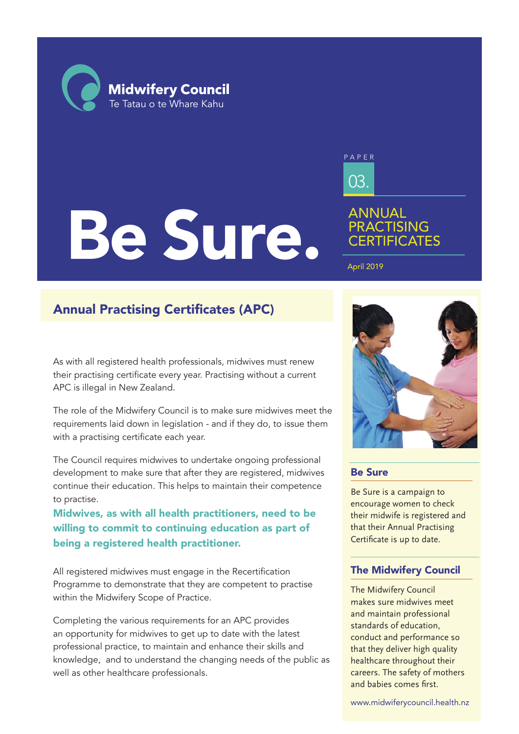**Midwifery Council** Te Tatau o te Whare Kahu

# Be Sure.

03. PAPER

# ANNUAL **PRACTISING CERTIFICATES**

April 2019

# Annual Practising Certificates (APC)

As with all registered health professionals, midwives must renew their practising certificate every year. Practising without a current APC is illegal in New Zealand.

The role of the Midwifery Council is to make sure midwives meet the requirements laid down in legislation - and if they do, to issue them with a practising certificate each year.

The Council requires midwives to undertake ongoing professional development to make sure that after they are registered, midwives continue their education. This helps to maintain their competence to practise.

Midwives, as with all health practitioners, need to be willing to commit to continuing education as part of being a registered health practitioner.

All registered midwives must engage in the Recertification Programme to demonstrate that they are competent to practise within the Midwifery Scope of Practice.

Completing the various requirements for an APC provides an opportunity for midwives to get up to date with the latest professional practice, to maintain and enhance their skills and knowledge, and to understand the changing needs of the public as well as other healthcare professionals.



### Be Sure

Be Sure is a campaign to encourage women to check their midwife is registered and that their Annual Practising Certificate is up to date.

## The Midwifery Council

The Midwifery Council makes sure midwives meet and maintain professional standards of education, conduct and performance so that they deliver high quality healthcare throughout their careers. The safety of mothers and babies comes first.

www.midwiferycouncil.health.nz